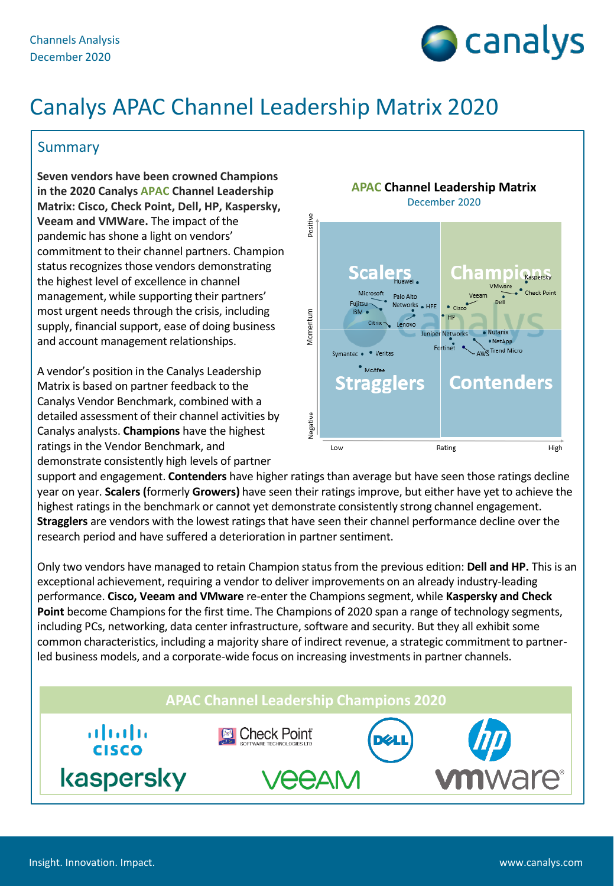

# Canalys APAC Channel Leadership Matrix 2020

### **Summary**

**Seven vendors have been crowned Champions in the 2020 Canalys APAC Channel Leadership Matrix: Cisco, Check Point, Dell, HP, Kaspersky, Veeam and VMWare.** The impact of the pandemic has shone a light on vendors' commitment to their channel partners. Champion status recognizes those vendors demonstrating the highest level of excellence in channel management, while supporting their partners' most urgent needs through the crisis, including supply, financial support, ease of doing business and account management relationships.

A vendor's position in the Canalys Leadership Matrix is based on partner feedback to the Canalys Vendor Benchmark, combined with a detailed assessment of their channel activities by Canalys analysts. **Champions** have the highest ratings in the Vendor Benchmark, and demonstrate consistently high levels of partner



support and engagement. **Contenders** have higher ratings than average but have seen those ratings decline year on year. **Scalers (**formerly **Growers)** have seen their ratings improve, but either have yet to achieve the highest ratings in the benchmark or cannot yet demonstrate consistently strong channel engagement. **Stragglers** are vendors with the lowest ratings that have seen their channel performance decline over the research period and have suffered a deterioration in partner sentiment.

Only two vendors have managed to retain Champion status from the previous edition: **Dell and HP.** This is an exceptional achievement, requiring a vendor to deliver improvements on an already industry-leading performance. **Cisco, Veeam and VMware** re-enter the Champions segment, while **Kaspersky and Check Point** become Champions for the first time. The Champions of 2020 span a range of technology segments, including PCs, networking, data center infrastructure, software and security. But they all exhibit some common characteristics, including a majority share of indirect revenue, a strategic commitment to partnerled business models, and a corporate-wide focus on increasing investments in partner channels.

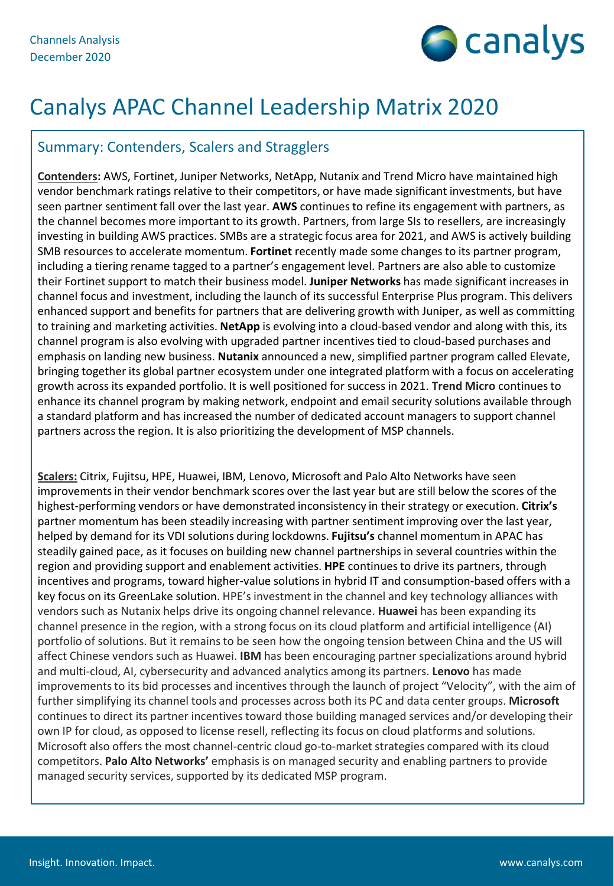

# Canalys APAC Channel Leadership Matrix 2020

### Summary: Contenders, Scalers and Stragglers

**Contenders:** AWS, Fortinet, Juniper Networks, NetApp, Nutanix and Trend Micro have maintained high vendor benchmark ratings relative to their competitors, or have made significant investments, but have seen partner sentiment fall over the last year. **AWS** continues to refine its engagement with partners, as the channel becomes more important to its growth. Partners, from large SIs to resellers, are increasingly investing in building AWS practices. SMBs are a strategic focus area for 2021, and AWS is actively building SMB resources to accelerate momentum. **Fortinet** recently made some changes to its partner program, including a tiering rename tagged to a partner's engagement level. Partners are also able to customize their Fortinet support to match their business model. **Juniper Networks** has made significant increases in channel focus and investment, including the launch of its successful Enterprise Plus program. This delivers enhanced support and benefits for partners that are delivering growth with Juniper, as well as committing to training and marketing activities. **NetApp** is evolving into a cloud-based vendor and along with this, its channel program is also evolving with upgraded partner incentives tied to cloud-based purchases and emphasis on landing new business. **Nutanix** announced a new, simplified partner program called Elevate, bringing together its global partner ecosystem under one integrated platform with a focus on accelerating growth across its expanded portfolio. It is well positioned for success in 2021. **Trend Micro** continues to enhance its channel program by making network, endpoint and email security solutions available through a standard platform and has increased the number of dedicated account managers to support channel partners across the region. It is also prioritizing the development of MSP channels.

**Scalers:** Citrix, Fujitsu, HPE, Huawei, IBM, Lenovo, Microsoft and Palo Alto Networks have seen improvements in their vendor benchmark scores over the last year but are still below the scores of the highest-performing vendors or have demonstrated inconsistency in their strategy or execution. **Citrix's**  partner momentum has been steadily increasing with partner sentiment improving over the last year, helped by demand for its VDI solutions during lockdowns. **Fujitsu's** channel momentum in APAC has steadily gained pace, as it focuses on building new channel partnerships in several countries within the region and providing support and enablement activities. **HPE** continues to drive its partners, through incentives and programs, toward higher-value solutions in hybrid IT and consumption-based offers with a key focus on its GreenLake solution. HPE's investment in the channel and key technology alliances with vendors such as Nutanix helps drive its ongoing channel relevance. **Huawei** has been expanding its channel presence in the region, with a strong focus on its cloud platform and artificial intelligence (AI) portfolio of solutions. But it remains to be seen how the ongoing tension between China and the US will affect Chinese vendors such as Huawei. **IBM** has been encouraging partner specializations around hybrid and multi-cloud, AI, cybersecurity and advanced analytics among its partners. **Lenovo** has made improvements to its bid processes and incentives through the launch of project "Velocity", with the aim of further simplifying its channel tools and processes across both its PC and data center groups. **Microsoft**  continues to direct its partner incentives toward those building managed services and/or developing their own IP for cloud, as opposed to license resell, reflecting its focus on cloud platforms and solutions. Microsoft also offers the most channel-centric cloud go-to-market strategies compared with its cloud competitors. **Palo Alto Networks'** emphasis is on managed security and enabling partners to provide managed security services, supported by its dedicated MSP program.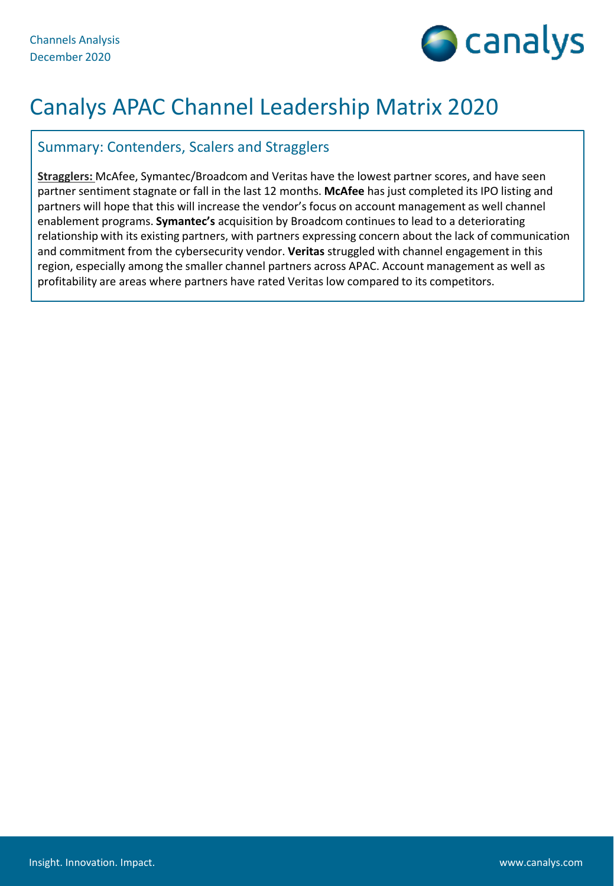

# Canalys APAC Channel Leadership Matrix 2020

### Summary: Contenders, Scalers and Stragglers

**Stragglers:** McAfee, Symantec/Broadcom and Veritas have the lowest partner scores, and have seen partner sentiment stagnate or fall in the last 12 months. **McAfee** has just completed its IPO listing and partners will hope that this will increase the vendor's focus on account management as well channel enablement programs. **Symantec's** acquisition by Broadcom continues to lead to a deteriorating relationship with its existing partners, with partners expressing concern about the lack of communication and commitment from the cybersecurity vendor. **Veritas** struggled with channel engagement in this region, especially among the smaller channel partners across APAC. Account management as well as profitability are areas where partners have rated Veritas low compared to its competitors.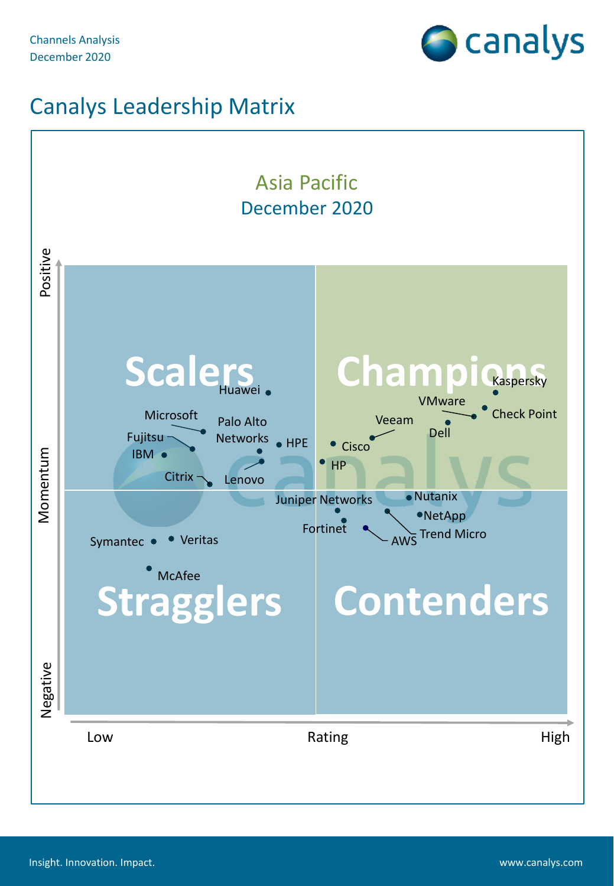

## Canalys Leadership Matrix

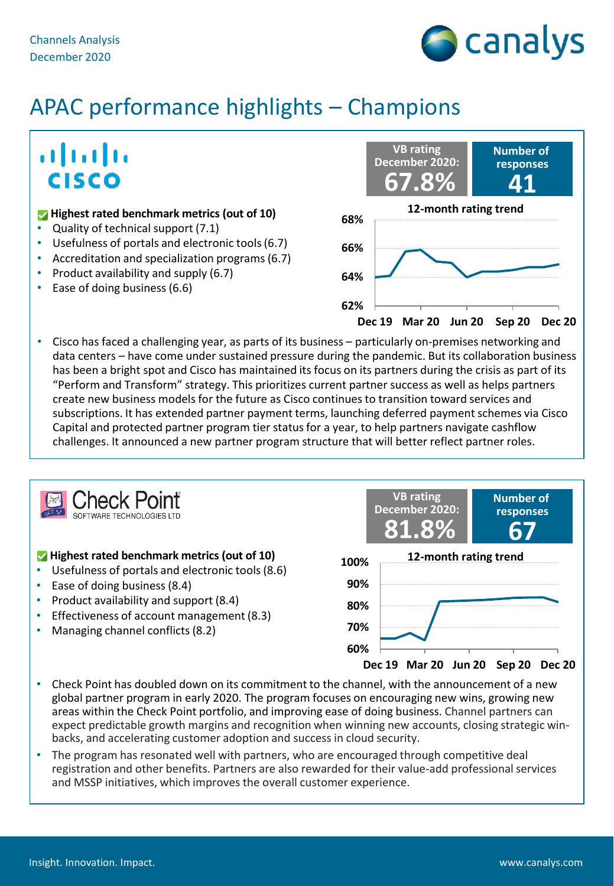

## ahah **CISCO**

### **12-month rating trend 12-month rating trend**

- Quality of technical support (7.1)
- Usefulness of portals and electronic tools (6.7)
- Accreditation and specialization programs (6.7)
- Product availability and supply (6.7)
- Ease of doing business (6.6)



• Cisco has faced a challenging year, as parts of its business – particularly on-premises networking and data centers – have come under sustained pressure during the pandemic. But its collaboration business has been a bright spot and Cisco has maintained its focus on its partners during the crisis as part of its "Perform and Transform" strategy. This prioritizes current partner success as well as helps partners create new business models for the future as Cisco continues to transition toward services and subscriptions. It has extended partner payment terms, launching deferred payment schemes via Cisco Capital and protected partner program tier status for a year, to help partners navigate cashflow challenges. It announced a new partner program structure that will better reflect partner roles.



#### **Highest rated benchmark metrics (out of 10)**

- Usefulness of portals and electronic tools (8.6)
- Ease of doing business (8.4)
- Product availability and support (8.4)
- Effectiveness of account management (8.3)
- Managing channel conflicts (8.2)



- Check Point has doubled down on its commitment to the channel, with the announcement of a new global partner program in early 2020. The program focuses on encouraging new wins, growing new areas within the Check Point portfolio, and improving ease of doing business. Channel partners can expect predictable growth margins and recognition when winning new accounts, closing strategic winbacks, and accelerating customer adoption and success in cloud security.
- The program has resonated well with partners, who are encouraged through competitive deal registration and other benefits. Partners are also rewarded for their value-add professional services and MSSP initiatives, which improves the overall customer experience.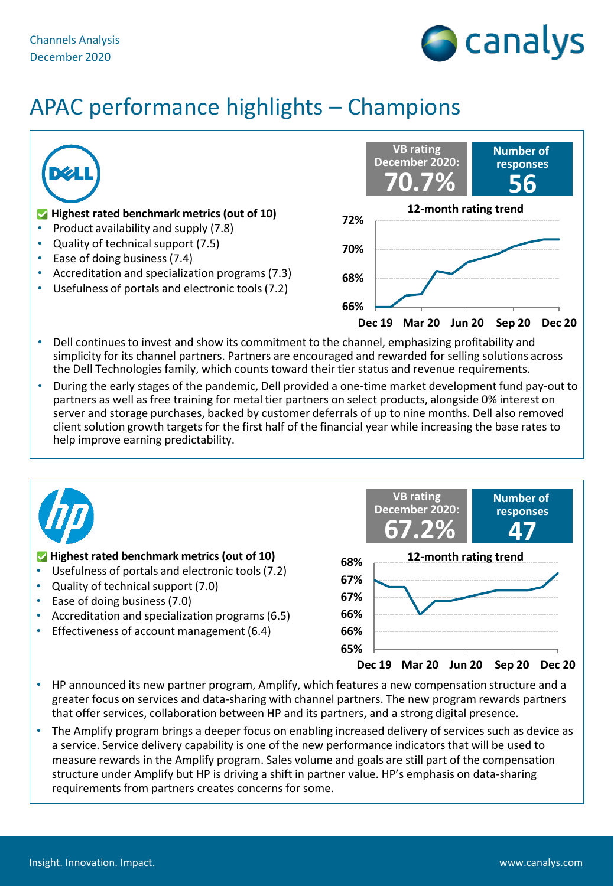



- simplicity for its channel partners. Partners are encouraged and rewarded for selling solutions across the Dell Technologies family, which counts toward their tier status and revenue requirements.
- During the early stages of the pandemic, Dell provided a one-time market development fund pay-out to partners as well as free training for metal tier partners on select products, alongside 0% interest on server and storage purchases, backed by customer deferrals of up to nine months. Dell also removed client solution growth targets for the first half of the financial year while increasing the base rates to help improve earning predictability.



#### **Highest rated benchmark metrics (out of 10)**

- Usefulness of portals and electronic tools (7.2)
- Quality of technical support (7.0)
- Ease of doing business (7.0)
- Accreditation and specialization programs (6.5)
- Effectiveness of account management (6.4)



- HP announced its new partner program, Amplify, which features a new compensation structure and a greater focus on services and data-sharing with channel partners. The new program rewards partners that offer services, collaboration between HP and its partners, and a strong digital presence.
- The Amplify program brings a deeper focus on enabling increased delivery of services such as device as a service. Service delivery capability is one of the new performance indicators that will be used to measure rewards in the Amplify program. Sales volume and goals are still part of the compensation structure under Amplify but HP is driving a shift in partner value. HP's emphasis on data-sharing requirements from partners creates concerns for some.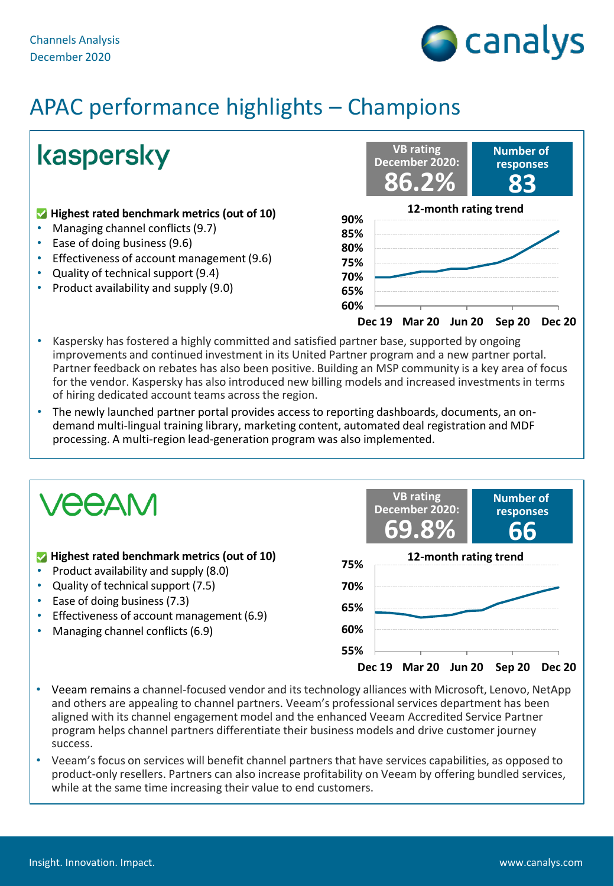

kaspersky

#### **Highest rated benchmark metrics (out of 10)**

- Managing channel conflicts (9.7)
- Ease of doing business (9.6)
- Effectiveness of account management (9.6)
- Quality of technical support (9.4)
- Product availability and supply (9.0)



- Kaspersky has fostered a highly committed and satisfied partner base, supported by ongoing improvements and continued investment in its United Partner program and a new partner portal. Partner feedback on rebates has also been positive. Building an MSP community is a key area of focus for the vendor. Kaspersky has also introduced new billing models and increased investments in terms of hiring dedicated account teams across the region.
- The newly launched partner portal provides access to reporting dashboards, documents, an ondemand multi-lingual training library, marketing content, automated deal registration and MDF processing. A multi-region lead-generation program was also implemented.



- Veeam remains a channel-focused vendor and its technology alliances with Microsoft, Lenovo, NetApp and others are appealing to channel partners. Veeam's professional services department has been aligned with its channel engagement model and the enhanced Veeam Accredited Service Partner program helps channel partners differentiate their business models and drive customer journey success.
- Veeam's focus on services will benefit channel partners that have services capabilities, as opposed to product-only resellers. Partners can also increase profitability on Veeam by offering bundled services, while at the same time increasing their value to end customers.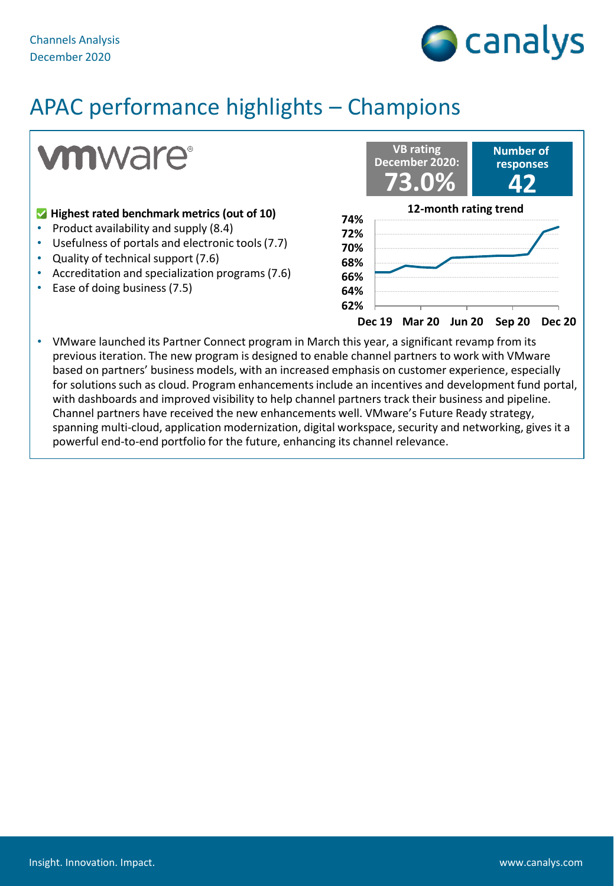

**vmware**®

#### **Highest rated benchmark metrics (out of 10)**

- Product availability and supply (8.4)
- Usefulness of portals and electronic tools (7.7)
- Quality of technical support (7.6)
- Accreditation and specialization programs (7.6)
- Ease of doing business (7.5)



• VMware launched its Partner Connect program in March this year, a significant revamp from its previous iteration. The new program is designed to enable channel partners to work with VMware based on partners' business models, with an increased emphasis on customer experience, especially for solutions such as cloud. Program enhancements include an incentives and development fund portal, with dashboards and improved visibility to help channel partners track their business and pipeline. Channel partners have received the new enhancements well. VMware's Future Ready strategy, spanning multi-cloud, application modernization, digital workspace, security and networking, gives it a powerful end-to-end portfolio for the future, enhancing its channel relevance.